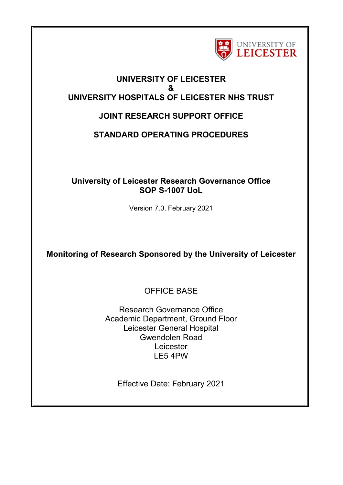

## **UNIVERSITY OF LEICESTER & UNIVERSITY HOSPITALS OF LEICESTER NHS TRUST**

# **JOINT RESEARCH SUPPORT OFFICE**

# **STANDARD OPERATING PROCEDURES**

## **University of Leicester Research Governance Office SOP S-1007 UoL**

Version 7.0, February 2021

**Monitoring of Research Sponsored by the University of Leicester**

OFFICE BASE

Research Governance Office Academic Department, Ground Floor Leicester General Hospital Gwendolen Road Leicester LE5 4PW

Effective Date: February 2021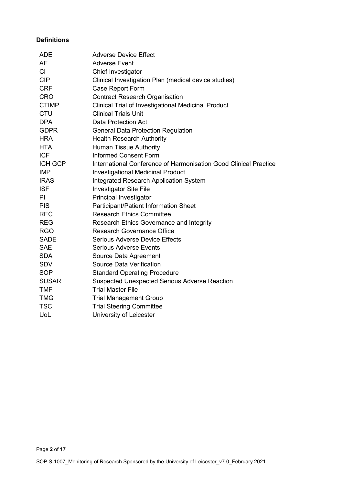#### **Definitions**

| <b>ADE</b>   | <b>Adverse Device Effect</b>                                     |
|--------------|------------------------------------------------------------------|
| <b>AE</b>    | <b>Adverse Event</b>                                             |
| CI           | Chief Investigator                                               |
| <b>CIP</b>   | Clinical Investigation Plan (medical device studies)             |
| <b>CRF</b>   | Case Report Form                                                 |
| <b>CRO</b>   | <b>Contract Research Organisation</b>                            |
| <b>CTIMP</b> | Clinical Trial of Investigational Medicinal Product              |
| <b>CTU</b>   | <b>Clinical Trials Unit</b>                                      |
| <b>DPA</b>   | <b>Data Protection Act</b>                                       |
| <b>GDPR</b>  | <b>General Data Protection Regulation</b>                        |
| <b>HRA</b>   | <b>Health Research Authority</b>                                 |
| <b>HTA</b>   | <b>Human Tissue Authority</b>                                    |
| <b>ICF</b>   | <b>Informed Consent Form</b>                                     |
| ICH GCP      | International Conference of Harmonisation Good Clinical Practice |
| <b>IMP</b>   | <b>Investigational Medicinal Product</b>                         |
| <b>IRAS</b>  | <b>Integrated Research Application System</b>                    |
| <b>ISF</b>   | <b>Investigator Site File</b>                                    |
| PI           | Principal Investigator                                           |
| <b>PIS</b>   | Participant/Patient Information Sheet                            |
| <b>REC</b>   | <b>Research Ethics Committee</b>                                 |
| <b>REGI</b>  | <b>Research Ethics Governance and Integrity</b>                  |
| <b>RGO</b>   | <b>Research Governance Office</b>                                |
| <b>SADE</b>  | <b>Serious Adverse Device Effects</b>                            |
| <b>SAE</b>   | <b>Serious Adverse Events</b>                                    |
| <b>SDA</b>   | Source Data Agreement                                            |
| <b>SDV</b>   | <b>Source Data Verification</b>                                  |
| <b>SOP</b>   | <b>Standard Operating Procedure</b>                              |
| <b>SUSAR</b> | <b>Suspected Unexpected Serious Adverse Reaction</b>             |
| <b>TMF</b>   | <b>Trial Master File</b>                                         |
| <b>TMG</b>   | <b>Trial Management Group</b>                                    |
| <b>TSC</b>   | <b>Trial Steering Committee</b>                                  |
| UoL          | University of Leicester                                          |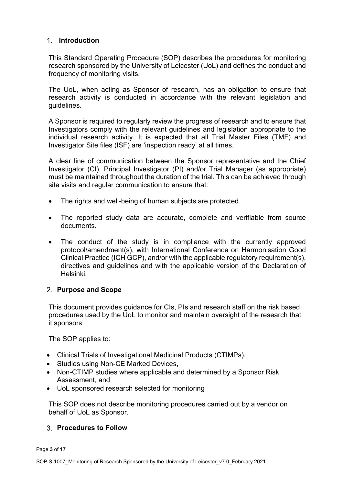### **Introduction**

This Standard Operating Procedure (SOP) describes the procedures for monitoring research sponsored by the University of Leicester (UoL) and defines the conduct and frequency of monitoring visits.

The UoL, when acting as Sponsor of research, has an obligation to ensure that research activity is conducted in accordance with the relevant legislation and guidelines.

A Sponsor is required to regularly review the progress of research and to ensure that Investigators comply with the relevant guidelines and legislation appropriate to the individual research activity. It is expected that all Trial Master Files (TMF) and Investigator Site files (ISF) are 'inspection ready' at all times.

A clear line of communication between the Sponsor representative and the Chief Investigator (CI), Principal Investigator (PI) and/or Trial Manager (as appropriate) must be maintained throughout the duration of the trial. This can be achieved through site visits and regular communication to ensure that:

- The rights and well-being of human subjects are protected.
- The reported study data are accurate, complete and verifiable from source documents.
- The conduct of the study is in compliance with the currently approved protocol/amendment(s), with International Conference on Harmonisation Good Clinical Practice (ICH GCP), and/or with the applicable regulatory requirement(s), directives and guidelines and with the applicable version of the Declaration of Helsinki.

#### **Purpose and Scope**

This document provides guidance for CIs, PIs and research staff on the risk based procedures used by the UoL to monitor and maintain oversight of the research that it sponsors.

The SOP applies to:

- Clinical Trials of Investigational Medicinal Products (CTIMPs),
- Studies using Non-CE Marked Devices,
- Non-CTIMP studies where applicable and determined by a Sponsor Risk Assessment, and
- UoL sponsored research selected for monitoring

This SOP does not describe monitoring procedures carried out by a vendor on behalf of UoL as Sponsor.

#### **Procedures to Follow**

Page **3** of **17**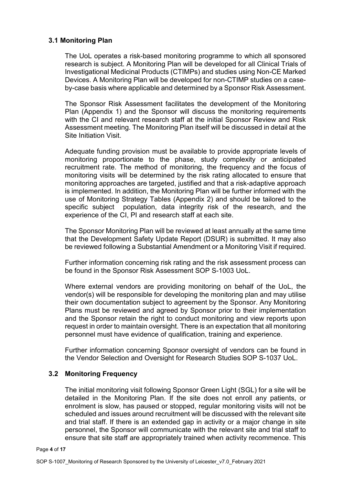#### **3.1 Monitoring Plan**

The UoL operates a risk-based monitoring programme to which all sponsored research is subject. A Monitoring Plan will be developed for all Clinical Trials of Investigational Medicinal Products (CTIMPs) and studies using Non-CE Marked Devices. A Monitoring Plan will be developed for non-CTIMP studies on a caseby-case basis where applicable and determined by a Sponsor Risk Assessment.

The Sponsor Risk Assessment facilitates the development of the Monitoring Plan (Appendix 1) and the Sponsor will discuss the monitoring requirements with the CI and relevant research staff at the initial Sponsor Review and Risk Assessment meeting. The Monitoring Plan itself will be discussed in detail at the Site Initiation Visit.

Adequate funding provision must be available to provide appropriate levels of monitoring proportionate to the phase, study complexity or anticipated recruitment rate. The method of monitoring, the frequency and the focus of monitoring visits will be determined by the risk rating allocated to ensure that monitoring approaches are targeted, justified and that a risk-adaptive approach is implemented. In addition, the Monitoring Plan will be further informed with the use of Monitoring Strategy Tables (Appendix 2) and should be tailored to the specific subject population, data integrity risk of the research, and the experience of the CI, PI and research staff at each site.

The Sponsor Monitoring Plan will be reviewed at least annually at the same time that the Development Safety Update Report (DSUR) is submitted. It may also be reviewed following a Substantial Amendment or a Monitoring Visit if required.

Further information concerning risk rating and the risk assessment process can be found in the Sponsor Risk Assessment SOP S-1003 UoL.

Where external vendors are providing monitoring on behalf of the UoL, the vendor(s) will be responsible for developing the monitoring plan and may utilise their own documentation subject to agreement by the Sponsor. Any Monitoring Plans must be reviewed and agreed by Sponsor prior to their implementation and the Sponsor retain the right to conduct monitoring and view reports upon request in order to maintain oversight. There is an expectation that all monitoring personnel must have evidence of qualification, training and experience.

Further information concerning Sponsor oversight of vendors can be found in the Vendor Selection and Oversight for Research Studies SOP S-1037 UoL.

#### **3.2 Monitoring Frequency**

The initial monitoring visit following Sponsor Green Light (SGL) for a site will be detailed in the Monitoring Plan. If the site does not enroll any patients, or enrolment is slow, has paused or stopped, regular monitoring visits will not be scheduled and issues around recruitment will be discussed with the relevant site and trial staff. If there is an extended gap in activity or a major change in site personnel, the Sponsor will communicate with the relevant site and trial staff to ensure that site staff are appropriately trained when activity recommence. This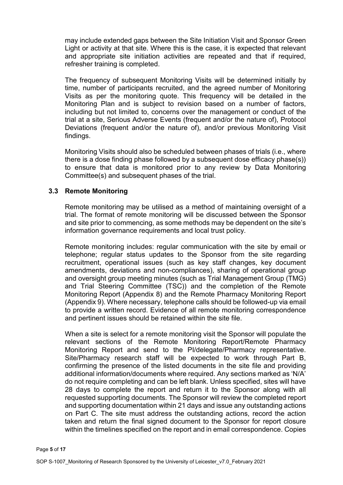may include extended gaps between the Site Initiation Visit and Sponsor Green Light or activity at that site. Where this is the case, it is expected that relevant and appropriate site initiation activities are repeated and that if required, refresher training is completed.

The frequency of subsequent Monitoring Visits will be determined initially by time, number of participants recruited, and the agreed number of Monitoring Visits as per the monitoring quote. This frequency will be detailed in the Monitoring Plan and is subject to revision based on a number of factors, including but not limited to, concerns over the management or conduct of the trial at a site, Serious Adverse Events (frequent and/or the nature of), Protocol Deviations (frequent and/or the nature of), and/or previous Monitoring Visit findings.

Monitoring Visits should also be scheduled between phases of trials (i.e., where there is a dose finding phase followed by a subsequent dose efficacy phase(s)) to ensure that data is monitored prior to any review by Data Monitoring Committee(s) and subsequent phases of the trial.

#### **3.3 Remote Monitoring**

Page **5** of **17**

Remote monitoring may be utilised as a method of maintaining oversight of a trial. The format of remote monitoring will be discussed between the Sponsor and site prior to commencing, as some methods may be dependent on the site's information governance requirements and local trust policy.

Remote monitoring includes: regular communication with the site by email or telephone; regular status updates to the Sponsor from the site regarding recruitment, operational issues (such as key staff changes, key document amendments, deviations and non-compliances), sharing of operational group and oversight group meeting minutes (such as Trial Management Group (TMG) and Trial Steering Committee (TSC)) and the completion of the Remote Monitoring Report (Appendix 8) and the Remote Pharmacy Monitoring Report (Appendix 9). Where necessary, telephone calls should be followed-up via email to provide a written record. Evidence of all remote monitoring correspondence and pertinent issues should be retained within the site file.

When a site is select for a remote monitoring visit the Sponsor will populate the relevant sections of the Remote Monitoring Report/Remote Pharmacy Monitoring Report and send to the PI/delegate/Pharmacy representative. Site/Pharmacy research staff will be expected to work through Part B, confirming the presence of the listed documents in the site file and providing additional information/documents where required. Any sections marked as 'N/A' do not require completing and can be left blank. Unless specified, sites will have 28 days to complete the report and return it to the Sponsor along with all requested supporting documents. The Sponsor will review the completed report and supporting documentation within 21 days and issue any outstanding actions on Part C. The site must address the outstanding actions, record the action taken and return the final signed document to the Sponsor for report closure within the timelines specified on the report and in email correspondence. Copies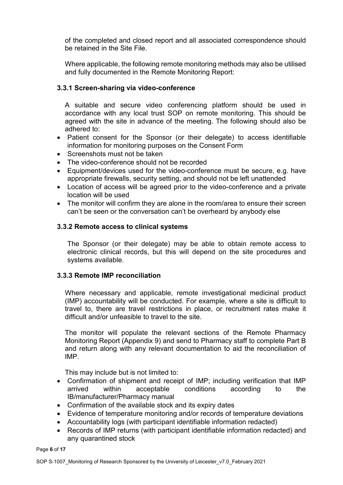of the completed and closed report and all associated correspondence should be retained in the Site File.

Where applicable, the following remote monitoring methods may also be utilised and fully documented in the Remote Monitoring Report:

#### **3.3.1 Screen-sharing via video-conference**

A suitable and secure video conferencing platform should be used in accordance with any local trust SOP on remote monitoring. This should be agreed with the site in advance of the meeting. The following should also be adhered to:

- Patient consent for the Sponsor (or their delegate) to access identifiable information for monitoring purposes on the Consent Form
- Screenshots must not be taken
- The video-conference should not be recorded
- Equipment/devices used for the video-conference must be secure, e.g. have appropriate firewalls, security setting, and should not be left unattended
- Location of access will be agreed prior to the video-conference and a private location will be used
- The monitor will confirm they are alone in the room/area to ensure their screen can't be seen or the conversation can't be overheard by anybody else

#### **3.3.2 Remote access to clinical systems**

The Sponsor (or their delegate) may be able to obtain remote access to electronic clinical records, but this will depend on the site procedures and systems available.

#### **3.3.3 Remote IMP reconciliation**

Where necessary and applicable, remote investigational medicinal product (IMP) accountability will be conducted. For example, where a site is difficult to travel to, there are travel restrictions in place, or recruitment rates make it difficult and/or unfeasible to travel to the site.

The monitor will populate the relevant sections of the Remote Pharmacy Monitoring Report (Appendix 9) and send to Pharmacy staff to complete Part B and return along with any relevant documentation to aid the reconciliation of IMP.

This may include but is not limited to:

- Confirmation of shipment and receipt of IMP; including verification that IMP arrived within acceptable conditions according to the IB/manufacturer/Pharmacy manual
- Confirmation of the available stock and its expiry dates
- Evidence of temperature monitoring and/or records of temperature deviations
- Accountability logs (with participant identifiable information redacted)
- Records of IMP returns (with participant identifiable information redacted) and any quarantined stock

Page **6** of **17**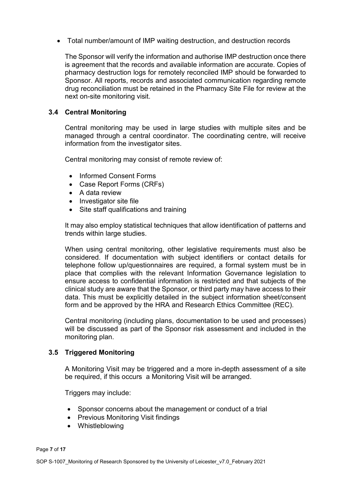• Total number/amount of IMP waiting destruction, and destruction records

The Sponsor will verify the information and authorise IMP destruction once there is agreement that the records and available information are accurate. Copies of pharmacy destruction logs for remotely reconciled IMP should be forwarded to Sponsor. All reports, records and associated communication regarding remote drug reconciliation must be retained in the Pharmacy Site File for review at the next on-site monitoring visit.

#### **3.4 Central Monitoring**

Central monitoring may be used in large studies with multiple sites and be managed through a central coordinator. The coordinating centre, will receive information from the investigator sites.

Central monitoring may consist of remote review of:

- Informed Consent Forms
- Case Report Forms (CRFs)
- A data review
- Investigator site file
- Site staff qualifications and training

It may also employ statistical techniques that allow identification of patterns and trends within large studies.

When using central monitoring, other legislative requirements must also be considered. If documentation with subject identifiers or contact details for telephone follow up/questionnaires are required, a formal system must be in place that complies with the relevant Information Governance legislation to ensure access to confidential information is restricted and that subjects of the clinical study are aware that the Sponsor, or third party may have access to their data. This must be explicitly detailed in the subject information sheet/consent form and be approved by the HRA and Research Ethics Committee (REC).

Central monitoring (including plans, documentation to be used and processes) will be discussed as part of the Sponsor risk assessment and included in the monitoring plan.

#### **3.5 Triggered Monitoring**

A Monitoring Visit may be triggered and a more in-depth assessment of a site be required, if this occurs a Monitoring Visit will be arranged.

Triggers may include:

- Sponsor concerns about the management or conduct of a trial
- Previous Monitoring Visit findings
- Whistleblowing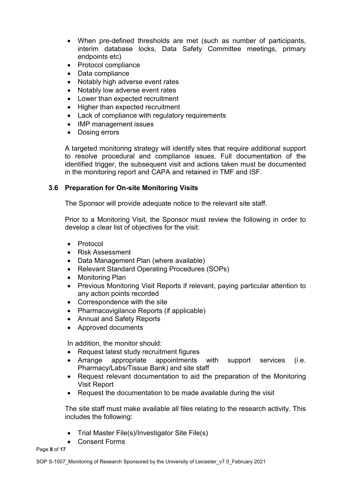- When pre-defined thresholds are met (such as number of participants, interim database locks, Data Safety Committee meetings, primary endpoints etc)
- Protocol compliance
- Data compliance
- Notably high adverse event rates
- Notably low adverse event rates
- Lower than expected recruitment
- Higher than expected recruitment
- Lack of compliance with regulatory requirements
- IMP management issues
- Dosing errors

A targeted monitoring strategy will identify sites that require additional support to resolve procedural and compliance issues. Full documentation of the identified trigger, the subsequent visit and actions taken must be documented in the monitoring report and CAPA and retained in TMF and ISF.

#### **3.6 Preparation for On-site Monitoring Visits**

The Sponsor will provide adequate notice to the relevant site staff.

Prior to a Monitoring Visit, the Sponsor must review the following in order to develop a clear list of objectives for the visit:

- Protocol
- Risk Assessment
- Data Management Plan (where available)
- Relevant Standard Operating Procedures (SOPs)
- Monitoring Plan
- Previous Monitoring Visit Reports if relevant, paying particular attention to any action points recorded
- Correspondence with the site
- Pharmacovigilance Reports (if applicable)
- Annual and Safety Reports
- Approved documents

In addition, the monitor should:

- Request latest study recruitment figures
- Arrange appropriate appointments with support services (i.e. Pharmacy/Labs/Tissue Bank) and site staff
- Request relevant documentation to aid the preparation of the Monitoring Visit Report
- Request the documentation to be made available during the visit

The site staff must make available all files relating to the research activity. This includes the following:

- Trial Master File(s)/Investigator Site File(s)
- Consent Forms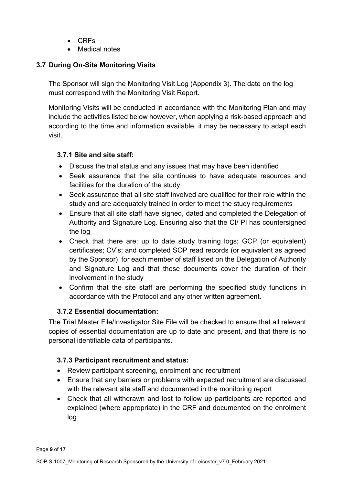- CRFs
- Medical notes

## **3.7 During On-Site Monitoring Visits**

The Sponsor will sign the Monitoring Visit Log (Appendix 3). The date on the log must correspond with the Monitoring Visit Report.

Monitoring Visits will be conducted in accordance with the Monitoring Plan and may include the activities listed below however, when applying a risk-based approach and according to the time and information available, it may be necessary to adapt each visit.

### **3.7.1 Site and site staff:**

- Discuss the trial status and any issues that may have been identified
- Seek assurance that the site continues to have adequate resources and facilities for the duration of the study
- Seek assurance that all site staff involved are qualified for their role within the study and are adequately trained in order to meet the study requirements
- Ensure that all site staff have signed, dated and completed the Delegation of Authority and Signature Log. Ensuring also that the CI/ PI has countersigned the log
- Check that there are: up to date study training logs; GCP (or equivalent) certificates; CV's; and completed SOP read records (or equivalent as agreed by the Sponsor) for each member of staff listed on the Delegation of Authority and Signature Log and that these documents cover the duration of their involvement in the study
- Confirm that the site staff are performing the specified study functions in accordance with the Protocol and any other written agreement.

### **3.7.2 Essential documentation:**

The Trial Master File/Investigator Site File will be checked to ensure that all relevant copies of essential documentation are up to date and present, and that there is no personal identifiable data of participants.

### **3.7.3 Participant recruitment and status:**

- Review participant screening, enrolment and recruitment
- Ensure that any barriers or problems with expected recruitment are discussed with the relevant site staff and documented in the monitoring report
- Check that all withdrawn and lost to follow up participants are reported and explained (where appropriate) in the CRF and documented on the enrolment log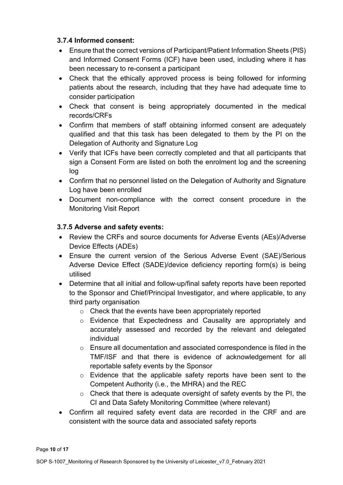### **3.7.4 Informed consent:**

- Ensure that the correct versions of Participant/Patient Information Sheets (PIS) and Informed Consent Forms (ICF) have been used, including where it has been necessary to re-consent a participant
- Check that the ethically approved process is being followed for informing patients about the research, including that they have had adequate time to consider participation
- Check that consent is being appropriately documented in the medical records/CRFs
- Confirm that members of staff obtaining informed consent are adequately qualified and that this task has been delegated to them by the PI on the Delegation of Authority and Signature Log
- Verify that ICFs have been correctly completed and that all participants that sign a Consent Form are listed on both the enrolment log and the screening log
- Confirm that no personnel listed on the Delegation of Authority and Signature Log have been enrolled
- Document non-compliance with the correct consent procedure in the Monitoring Visit Report

### **3.7.5 Adverse and safety events:**

- Review the CRFs and source documents for Adverse Events (AEs)/Adverse Device Effects (ADEs)
- Ensure the current version of the Serious Adverse Event (SAE)/Serious Adverse Device Effect (SADE)/device deficiency reporting form(s) is being utilised
- Determine that all initial and follow-up/final safety reports have been reported to the Sponsor and Chief/Principal Investigator, and where applicable, to any third party organisation
	- o Check that the events have been appropriately reported
	- o Evidence that Expectedness and Causality are appropriately and accurately assessed and recorded by the relevant and delegated individual
	- $\circ$  Ensure all documentation and associated correspondence is filed in the TMF/ISF and that there is evidence of acknowledgement for all reportable safety events by the Sponsor
	- o Evidence that the applicable safety reports have been sent to the Competent Authority (i.e., the MHRA) and the REC
	- $\circ$  Check that there is adequate oversight of safety events by the PI, the CI and Data Safety Monitoring Committee (where relevant)
- Confirm all required safety event data are recorded in the CRF and are consistent with the source data and associated safety reports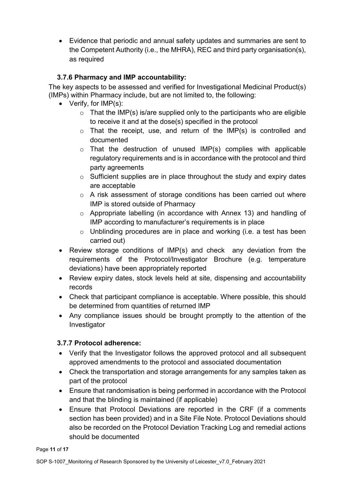• Evidence that periodic and annual safety updates and summaries are sent to the Competent Authority (i.e., the MHRA), REC and third party organisation(s), as required

## **3.7.6 Pharmacy and IMP accountability:**

The key aspects to be assessed and verified for Investigational Medicinal Product(s) (IMPs) within Pharmacy include, but are not limited to, the following:

- Verify, for IMP(s):
	- $\circ$  That the IMP(s) is/are supplied only to the participants who are eligible to receive it and at the dose(s) specified in the protocol
	- $\circ$  That the receipt, use, and return of the IMP(s) is controlled and documented
	- $\circ$  That the destruction of unused IMP(s) complies with applicable regulatory requirements and is in accordance with the protocol and third party agreements
	- $\circ$  Sufficient supplies are in place throughout the study and expiry dates are acceptable
	- o A risk assessment of storage conditions has been carried out where IMP is stored outside of Pharmacy
	- o Appropriate labelling (in accordance with Annex 13) and handling of IMP according to manufacturer's requirements is in place
	- o Unblinding procedures are in place and working (i.e. a test has been carried out)
- Review storage conditions of IMP(s) and check any deviation from the requirements of the Protocol/Investigator Brochure (e.g. temperature deviations) have been appropriately reported
- Review expiry dates, stock levels held at site, dispensing and accountability records
- Check that participant compliance is acceptable. Where possible, this should be determined from quantities of returned IMP
- Any compliance issues should be brought promptly to the attention of the Investigator

### **3.7.7 Protocol adherence:**

- Verify that the Investigator follows the approved protocol and all subsequent approved amendments to the protocol and associated documentation
- Check the transportation and storage arrangements for any samples taken as part of the protocol
- Ensure that randomisation is being performed in accordance with the Protocol and that the blinding is maintained (if applicable)
- Ensure that Protocol Deviations are reported in the CRF (if a comments section has been provided) and in a Site File Note. Protocol Deviations should also be recorded on the Protocol Deviation Tracking Log and remedial actions should be documented

Page **11** of **17**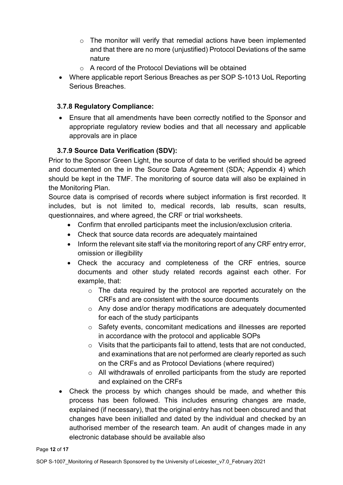- o The monitor will verify that remedial actions have been implemented and that there are no more (unjustified) Protocol Deviations of the same nature
- $\circ$  A record of the Protocol Deviations will be obtained
- Where applicable report Serious Breaches as per SOP S-1013 UoL Reporting Serious Breaches.

### **3.7.8 Regulatory Compliance:**

• Ensure that all amendments have been correctly notified to the Sponsor and appropriate regulatory review bodies and that all necessary and applicable approvals are in place

### **3.7.9 Source Data Verification (SDV):**

Prior to the Sponsor Green Light, the source of data to be verified should be agreed and documented on the in the Source Data Agreement (SDA; Appendix 4) which should be kept in the TMF. The monitoring of source data will also be explained in the Monitoring Plan.

Source data is comprised of records where subject information is first recorded. It includes, but is not limited to, medical records, lab results, scan results, questionnaires, and where agreed, the CRF or trial worksheets.

- Confirm that enrolled participants meet the inclusion/exclusion criteria.
- Check that source data records are adequately maintained
- Inform the relevant site staff via the monitoring report of any CRF entry error, omission or illegibility
- Check the accuracy and completeness of the CRF entries, source documents and other study related records against each other. For example, that:
	- $\circ$  The data required by the protocol are reported accurately on the CRFs and are consistent with the source documents
	- o Any dose and/or therapy modifications are adequately documented for each of the study participants
	- o Safety events, concomitant medications and illnesses are reported in accordance with the protocol and applicable SOPs
	- o Visits that the participants fail to attend, tests that are not conducted, and examinations that are not performed are clearly reported as such on the CRFs and as Protocol Deviations (where required)
	- $\circ$  All withdrawals of enrolled participants from the study are reported and explained on the CRFs
- Check the process by which changes should be made, and whether this process has been followed. This includes ensuring changes are made, explained (if necessary), that the original entry has not been obscured and that changes have been initialled and dated by the individual and checked by an authorised member of the research team. An audit of changes made in any electronic database should be available also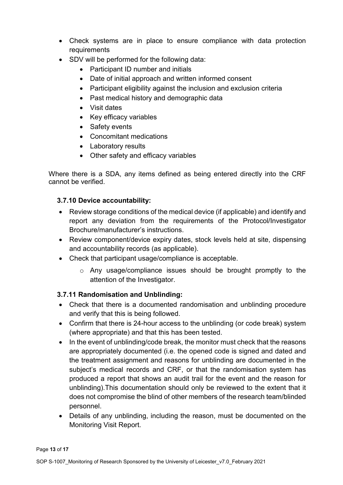- Check systems are in place to ensure compliance with data protection requirements
- SDV will be performed for the following data:
	- Participant ID number and initials
	- Date of initial approach and written informed consent
	- Participant eligibility against the inclusion and exclusion criteria
	- Past medical history and demographic data
	- Visit dates
	- Key efficacy variables
	- Safety events
	- Concomitant medications
	- Laboratory results
	- Other safety and efficacy variables

Where there is a SDA, any items defined as being entered directly into the CRF cannot be verified.

## **3.7.10 Device accountability:**

- Review storage conditions of the medical device (if applicable) and identify and report any deviation from the requirements of the Protocol/Investigator Brochure/manufacturer's instructions.
- Review component/device expiry dates, stock levels held at site, dispensing and accountability records (as applicable).
- Check that participant usage/compliance is acceptable.
	- o Any usage/compliance issues should be brought promptly to the attention of the Investigator.

## **3.7.11 Randomisation and Unblinding:**

- Check that there is a documented randomisation and unblinding procedure and verify that this is being followed.
- Confirm that there is 24-hour access to the unblinding (or code break) system (where appropriate) and that this has been tested.
- In the event of unblinding/code break, the monitor must check that the reasons are appropriately documented (i.e. the opened code is signed and dated and the treatment assignment and reasons for unblinding are documented in the subject's medical records and CRF, or that the randomisation system has produced a report that shows an audit trail for the event and the reason for unblinding).This documentation should only be reviewed to the extent that it does not compromise the blind of other members of the research team/blinded personnel.
- Details of any unblinding, including the reason, must be documented on the Monitoring Visit Report.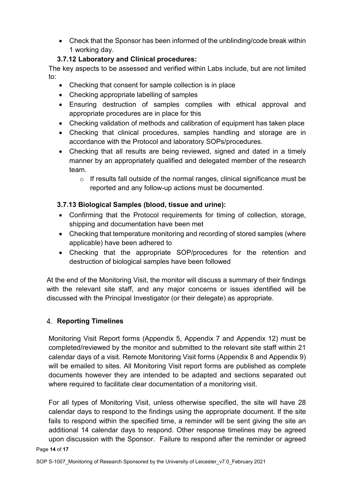• Check that the Sponsor has been informed of the unblinding/code break within 1 working day.

## **3.7.12 Laboratory and Clinical procedures:**

The key aspects to be assessed and verified within Labs include, but are not limited to:

- Checking that consent for sample collection is in place
- Checking appropriate labelling of samples
- Ensuring destruction of samples complies with ethical approval and appropriate procedures are in place for this
- Checking validation of methods and calibration of equipment has taken place
- Checking that clinical procedures, samples handling and storage are in accordance with the Protocol and laboratory SOPs/procedures.
- Checking that all results are being reviewed, signed and dated in a timely manner by an appropriately qualified and delegated member of the research team.
	- o If results fall outside of the normal ranges, clinical significance must be reported and any follow-up actions must be documented.

## **3.7.13 Biological Samples (blood, tissue and urine):**

- Confirming that the Protocol requirements for timing of collection, storage, shipping and documentation have been met
- Checking that temperature monitoring and recording of stored samples (where applicable) have been adhered to
- Checking that the appropriate SOP/procedures for the retention and destruction of biological samples have been followed

At the end of the Monitoring Visit, the monitor will discuss a summary of their findings with the relevant site staff, and any major concerns or issues identified will be discussed with the Principal Investigator (or their delegate) as appropriate.

## **Reporting Timelines**

Monitoring Visit Report forms (Appendix 5, Appendix 7 and Appendix 12) must be completed/reviewed by the monitor and submitted to the relevant site staff within 21 calendar days of a visit. Remote Monitoring Visit forms (Appendix 8 and Appendix 9) will be emailed to sites. All Monitoring Visit report forms are published as complete documents however they are intended to be adapted and sections separated out where required to facilitate clear documentation of a monitoring visit.

For all types of Monitoring Visit, unless otherwise specified, the site will have 28 calendar days to respond to the findings using the appropriate document. If the site fails to respond within the specified time, a reminder will be sent giving the site an additional 14 calendar days to respond. Other response timelines may be agreed upon discussion with the Sponsor. Failure to respond after the reminder or agreed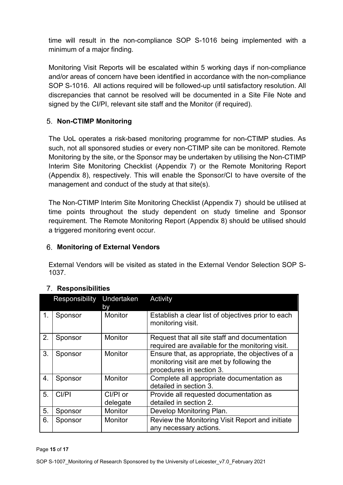time will result in the non-compliance SOP S-1016 being implemented with a minimum of a major finding.

Monitoring Visit Reports will be escalated within 5 working days if non-compliance and/or areas of concern have been identified in accordance with the non-compliance SOP S-1016. All actions required will be followed-up until satisfactory resolution. All discrepancies that cannot be resolved will be documented in a Site File Note and signed by the CI/PI, relevant site staff and the Monitor (if required).

## **Non-CTIMP Monitoring**

The UoL operates a risk-based monitoring programme for non-CTIMP studies. As such, not all sponsored studies or every non-CTIMP site can be monitored. Remote Monitoring by the site, or the Sponsor may be undertaken by utilising the Non-CTIMP Interim Site Monitoring Checklist (Appendix 7) or the Remote Monitoring Report (Appendix 8), respectively. This will enable the Sponsor/CI to have oversite of the management and conduct of the study at that site(s).

The Non-CTIMP Interim Site Monitoring Checklist (Appendix 7) should be utilised at time points throughout the study dependent on study timeline and Sponsor requirement. The Remote Monitoring Report (Appendix 8) should be utilised should a triggered monitoring event occur.

## **Monitoring of External Vendors**

External Vendors will be visited as stated in the External Vendor Selection SOP S-1037.

|    | Responsibility | Undertaken<br>b٧     | Activity                                                                                                                  |
|----|----------------|----------------------|---------------------------------------------------------------------------------------------------------------------------|
| 1. | Sponsor        | <b>Monitor</b>       | Establish a clear list of objectives prior to each<br>monitoring visit.                                                   |
| 2. | Sponsor        | <b>Monitor</b>       | Request that all site staff and documentation<br>required are available for the monitoring visit.                         |
| 3. | Sponsor        | <b>Monitor</b>       | Ensure that, as appropriate, the objectives of a<br>monitoring visit are met by following the<br>procedures in section 3. |
| 4. | Sponsor        | Monitor              | Complete all appropriate documentation as<br>detailed in section 3.                                                       |
| 5. | CI/PI          | Cl/Pl or<br>delegate | Provide all requested documentation as<br>detailed in section 2.                                                          |
| 5. | Sponsor        | Monitor              | Develop Monitoring Plan.                                                                                                  |
| 6. | Sponsor        | <b>Monitor</b>       | Review the Monitoring Visit Report and initiate<br>any necessary actions.                                                 |

## **Responsibilities**

Page **15** of **17**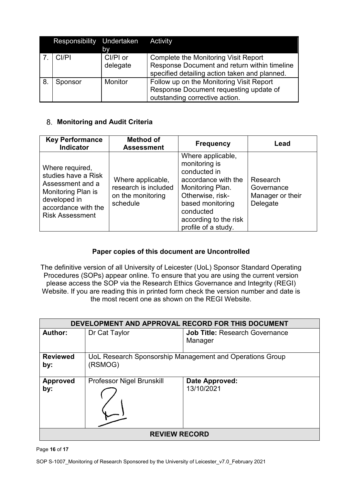|    | Responsibility Undertaken Activity |                |                                               |
|----|------------------------------------|----------------|-----------------------------------------------|
|    |                                    | bv             |                                               |
|    | CI/PI                              | CI/PI or       | <b>Complete the Monitoring Visit Report</b>   |
|    |                                    | delegate       | Response Document and return within timeline  |
|    |                                    |                | specified detailing action taken and planned. |
| 8. | Sponsor                            | <b>Monitor</b> | Follow up on the Monitoring Visit Report      |
|    |                                    |                | Response Document requesting update of        |
|    |                                    |                | outstanding corrective action.                |

### **Monitoring and Audit Criteria**

| <b>Key Performance</b><br><b>Indicator</b>                                                                                                               | <b>Method of</b><br><b>Assessment</b>                                      | <b>Frequency</b>                                                                                                                                                                                   | Lead                                                   |
|----------------------------------------------------------------------------------------------------------------------------------------------------------|----------------------------------------------------------------------------|----------------------------------------------------------------------------------------------------------------------------------------------------------------------------------------------------|--------------------------------------------------------|
| Where required,<br>studies have a Risk<br>Assessment and a<br><b>Monitoring Plan is</b><br>developed in<br>accordance with the<br><b>Risk Assessment</b> | Where applicable,<br>research is included<br>on the monitoring<br>schedule | Where applicable,<br>monitoring is<br>conducted in<br>accordance with the<br>Monitoring Plan.<br>Otherwise, risk-<br>based monitoring<br>conducted<br>according to the risk<br>profile of a study. | Research<br>Governance<br>Manager or their<br>Delegate |

### **Paper copies of this document are Uncontrolled**

The definitive version of all University of Leicester (UoL) Sponsor Standard Operating Procedures (SOPs) appear online. To ensure that you are using the current version please access the SOP via the Research Ethics Governance and Integrity (REGI) Website. If you are reading this in printed form check the version number and date is the most recent one as shown on the REGI Website.

| DEVELOPMENT AND APPROVAL RECORD FOR THIS DOCUMENT |                                  |                                                          |  |
|---------------------------------------------------|----------------------------------|----------------------------------------------------------|--|
| <b>Author:</b>                                    | Dr Cat Taylor                    | <b>Job Title: Research Governance</b><br>Manager         |  |
|                                                   |                                  |                                                          |  |
| <b>Reviewed</b><br>by:                            | (RSMOG)                          | UoL Research Sponsorship Management and Operations Group |  |
| <b>Approved</b><br>by:                            | <b>Professor Nigel Brunskill</b> | Date Approved:<br>13/10/2021                             |  |
| <b>REVIEW RECORD</b>                              |                                  |                                                          |  |

Page **16** of **17**